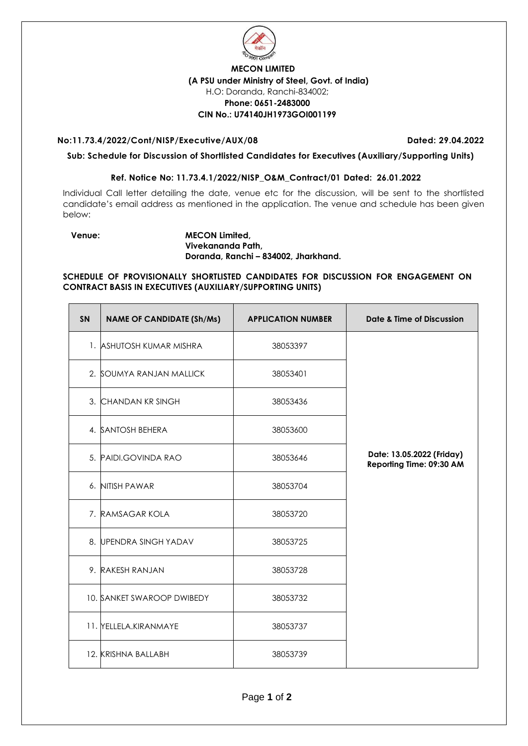

## **MECON LIMITED (A PSU under Ministry of Steel, Govt. of India)** H.O: Doranda, Ranchi-834002; **Phone: 0651-2483000 CIN No.: U74140JH1973GOI001199**

## **No:11.73.4/2022/Cont/NISP/Executive/AUX/08 Dated: 29.04.2022**

**Sub: Schedule for Discussion of Shortlisted Candidates for Executives (Auxiliary/Supporting Units)** 

## **Ref. Notice No: 11.73.4.1/2022/NISP\_O&M\_Contract/01 Dated: 26.01.2022**

Individual Call letter detailing the date, venue etc for the discussion, will be sent to the shortlisted candidate's email address as mentioned in the application. The venue and schedule has been given below:

## **Venue: MECON Limited, Vivekananda Path, Doranda, Ranchi – 834002, Jharkhand.**

**SCHEDULE OF PROVISIONALLY SHORTLISTED CANDIDATES FOR DISCUSSION FOR ENGAGEMENT ON CONTRACT BASIS IN EXECUTIVES (AUXILIARY/SUPPORTING UNITS)**

| <b>SN</b> | <b>NAME OF CANDIDATE (Sh/Ms)</b> | <b>APPLICATION NUMBER</b> | <b>Date &amp; Time of Discussion</b>                  |
|-----------|----------------------------------|---------------------------|-------------------------------------------------------|
|           | 1. ASHUTOSH KUMAR MISHRA         | 38053397                  |                                                       |
|           | 2. SOUMYA RANJAN MALLICK         | 38053401                  |                                                       |
|           | 3. CHANDAN KR SINGH              | 38053436                  |                                                       |
|           | 4. SANTOSH BEHERA                | 38053600                  |                                                       |
|           | 5. PAIDI.GOVINDA RAO             | 38053646                  | Date: 13.05.2022 (Friday)<br>Reporting Time: 09:30 AM |
|           | 6. NITISH PAWAR                  | 38053704                  |                                                       |
|           | 7. RAMSAGAR KOLA                 | 38053720                  |                                                       |
|           | 8. UPENDRA SINGH YADAV           | 38053725                  |                                                       |
|           | 9. RAKESH RANJAN                 | 38053728                  |                                                       |
|           | 10. SANKET SWAROOP DWIBEDY       | 38053732                  |                                                       |
|           | 11. YELLELA.KIRANMAYE            | 38053737                  |                                                       |
|           | 12. KRISHNA BALLABH              | 38053739                  |                                                       |